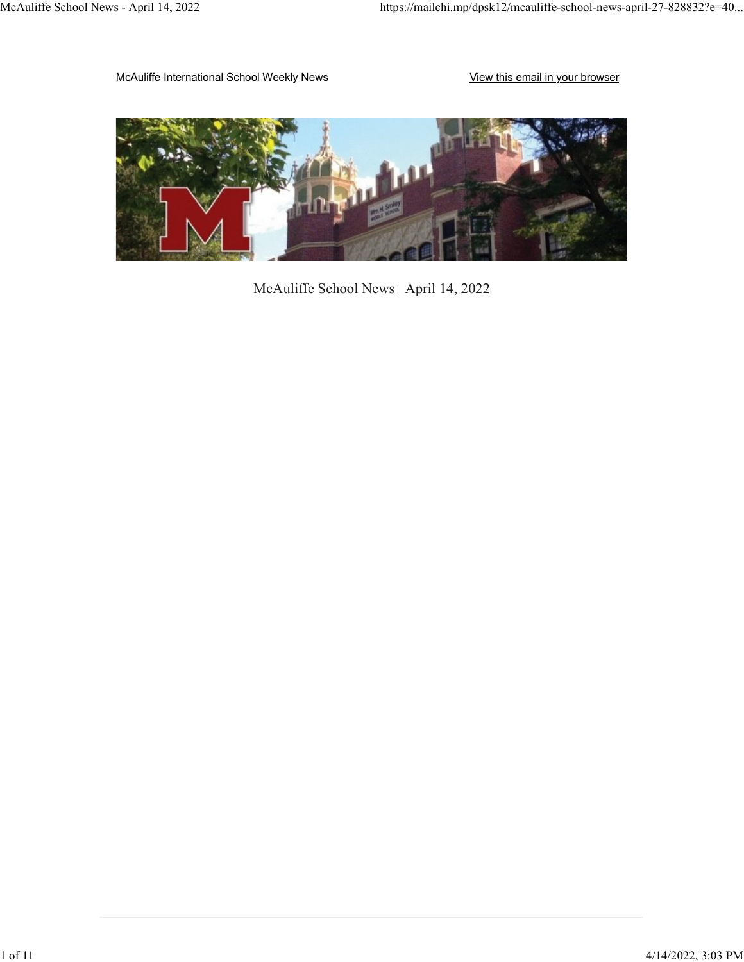McAuliffe International School Weekly News View This email in your browser



McAuliffe School News | April 14, 2022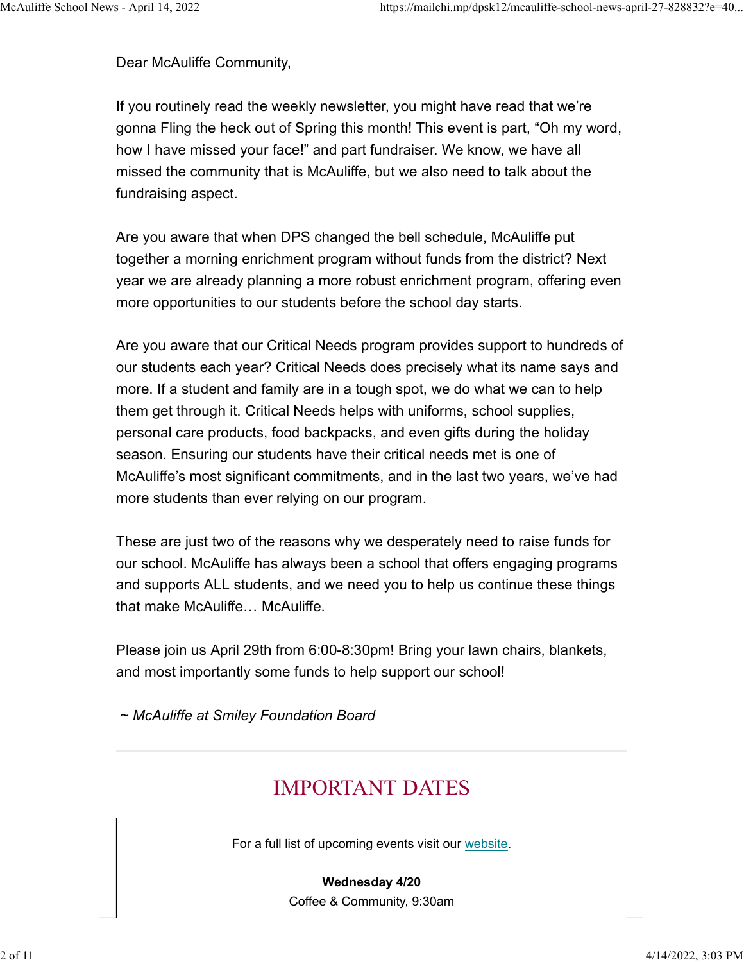Dear McAuliffe Community,

If you routinely read the weekly newsletter, you might have read that we're gonna Fling the heck out of Spring this month! This event is part, "Oh my word, how I have missed your face!" and part fundraiser. We know, we have all missed the community that is McAuliffe, but we also need to talk about the fundraising aspect.

Are you aware that when DPS changed the bell schedule, McAuliffe put together a morning enrichment program without funds from the district? Next year we are already planning a more robust enrichment program, offering even more opportunities to our students before the school day starts.

Are you aware that our Critical Needs program provides support to hundreds of our students each year? Critical Needs does precisely what its name says and more. If a student and family are in a tough spot, we do what we can to help them get through it. Critical Needs helps with uniforms, school supplies, personal care products, food backpacks, and even gifts during the holiday season. Ensuring our students have their critical needs met is one of McAuliffe's most significant commitments, and in the last two years, we've had more students than ever relying on our program.

These are just two of the reasons why we desperately need to raise funds for our school. McAuliffe has always been a school that offers engaging programs and supports ALL students, and we need you to help us continue these things that make McAuliffe… McAuliffe.

Please join us April 29th from 6:00-8:30pm! Bring your lawn chairs, blankets, and most importantly some funds to help support our school!

~ McAuliffe at Smiley Foundation Board

# IMPORTANT DATES

For a full list of upcoming events visit our website.

Wednesday 4/20 Coffee & Community, 9:30am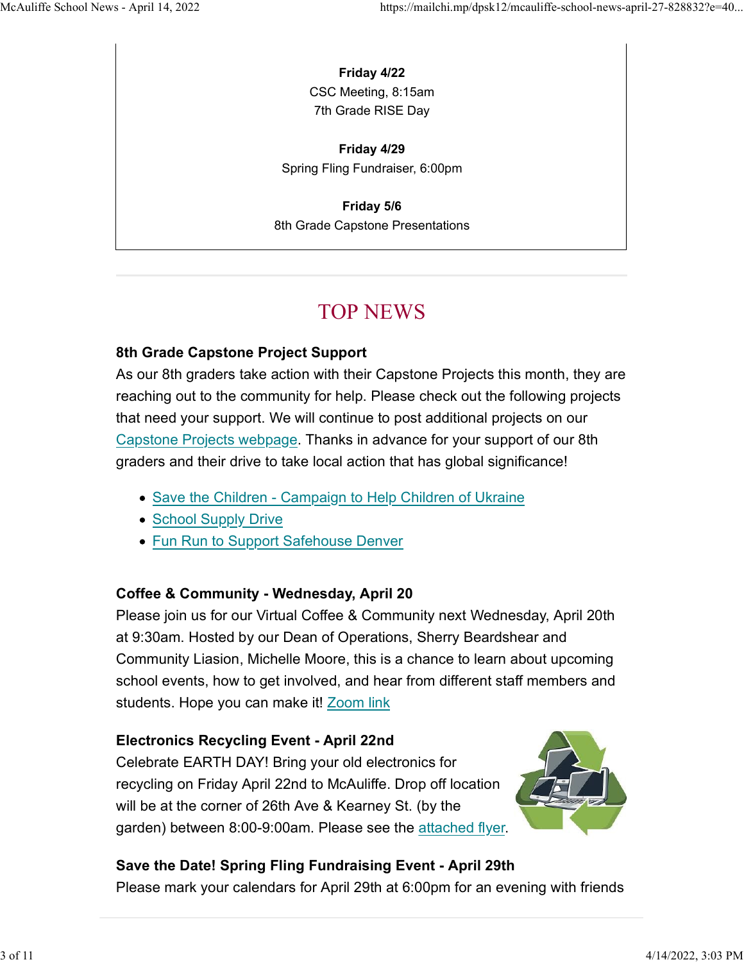## Friday 4/22

CSC Meeting, 8:15am 7th Grade RISE Day

Friday 4/29 Spring Fling Fundraiser, 6:00pm

Friday 5/6 8th Grade Capstone Presentations

# TOP NEWS

## 8th Grade Capstone Project Support

As our 8th graders take action with their Capstone Projects this month, they are reaching out to the community for help. Please check out the following projects that need your support. We will continue to post additional projects on our Capstone Projects webpage. Thanks in advance for your support of our 8th graders and their drive to take local action that has global significance!

- Save the Children Campaign to Help Children of Ukraine
- School Supply Drive
- Fun Run to Support Safehouse Denver

## Coffee & Community - Wednesday, April 20

Please join us for our Virtual Coffee & Community next Wednesday, April 20th at 9:30am. Hosted by our Dean of Operations, Sherry Beardshear and Community Liasion, Michelle Moore, this is a chance to learn about upcoming school events, how to get involved, and hear from different staff members and students. Hope you can make it! Zoom link

## Electronics Recycling Event - April 22nd

Celebrate EARTH DAY! Bring your old electronics for recycling on Friday April 22nd to McAuliffe. Drop off location will be at the corner of 26th Ave & Kearney St. (by the garden) between 8:00-9:00am. Please see the attached flyer.



## Save the Date! Spring Fling Fundraising Event - April 29th

Please mark your calendars for April 29th at 6:00pm for an evening with friends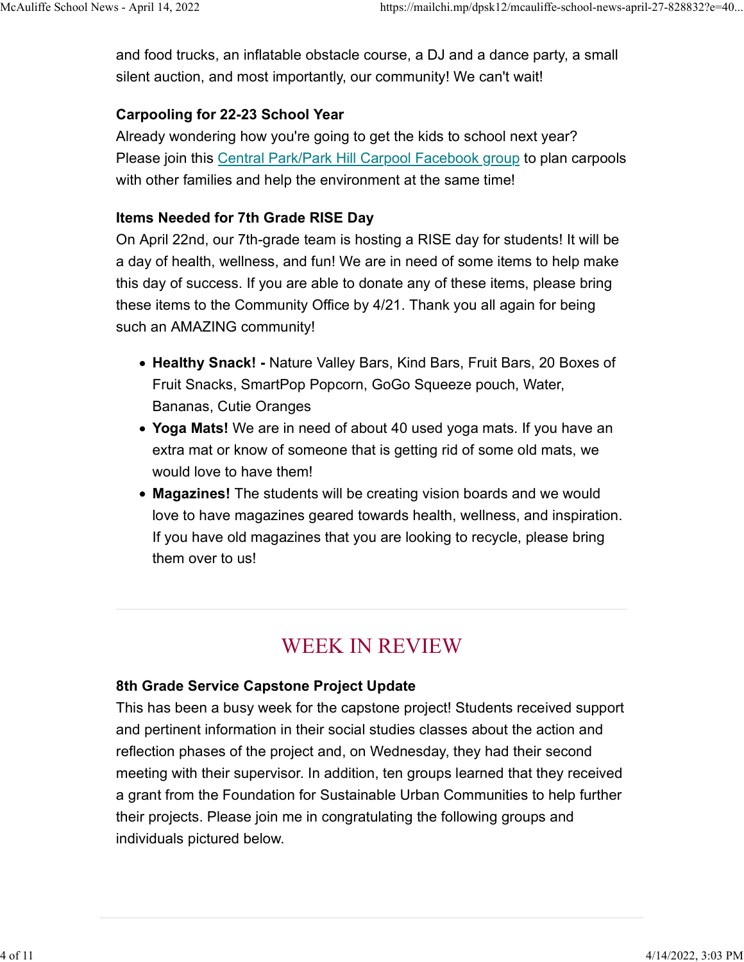and food trucks, an inflatable obstacle course, a DJ and a dance party, a small silent auction, and most importantly, our community! We can't wait! McAuliffe School News - April 14, 2022<br>https://mailchi.mp/dpsk12/mcauliffe-school-news-april-27-828832?e=40...<br>and food trucks, an inflatable obstacle course, a DJ and a dance party, a small<br>silent auction, and most import

## Carpooling for 22-23 School Year

Already wondering how you're going to get the kids to school next year? Please join this Central Park/Park Hill Carpool Facebook group to plan carpools with other families and help the environment at the same time!

#### Items Needed for 7th Grade RISE Day

On April 22nd, our 7th-grade team is hosting a RISE day for students! It will be a day of health, wellness, and fun! We are in need of some items to help make this day of success. If you are able to donate any of these items, please bring these items to the Community Office by 4/21. Thank you all again for being such an AMAZING community!

- Healthy Snack! Nature Valley Bars, Kind Bars, Fruit Bars, 20 Boxes of Fruit Snacks, SmartPop Popcorn, GoGo Squeeze pouch, Water, Bananas, Cutie Oranges
- Yoga Mats! We are in need of about 40 used yoga mats. If you have an extra mat or know of someone that is getting rid of some old mats, we would love to have them!
- Magazines! The students will be creating vision boards and we would love to have magazines geared towards health, wellness, and inspiration. If you have old magazines that you are looking to recycle, please bring them over to us!

# WEEK IN REVIEW

## 8th Grade Service Capstone Project Update

This has been a busy week for the capstone project! Students received support and pertinent information in their social studies classes about the action and reflection phases of the project and, on Wednesday, they had their second meeting with their supervisor. In addition, ten groups learned that they received a grant from the Foundation for Sustainable Urban Communities to help further their projects. Please join me in congratulating the following groups and individuals pictured below.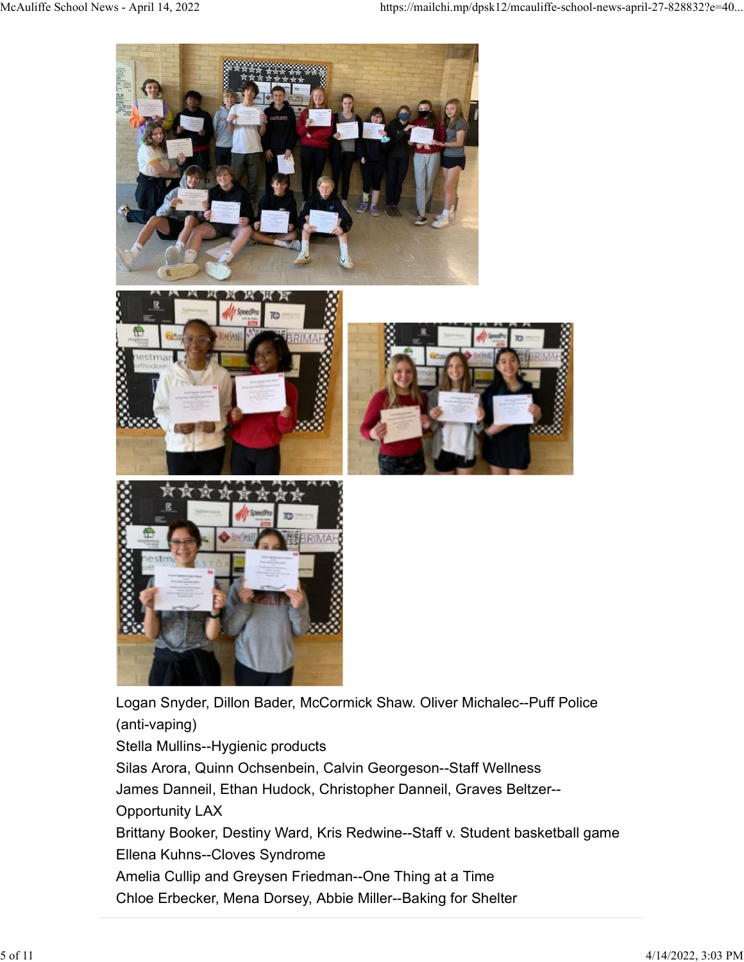

James Danneil, Ethan Hudock, Christopher Danneil, Graves Beltzer-- Opportunity LAX

Brittany Booker, Destiny Ward, Kris Redwine--Staff v. Student basketball game Ellena Kuhns--Cloves Syndrome

Amelia Cullip and Greysen Friedman--One Thing at a Time Chloe Erbecker, Mena Dorsey, Abbie Miller--Baking for Shelter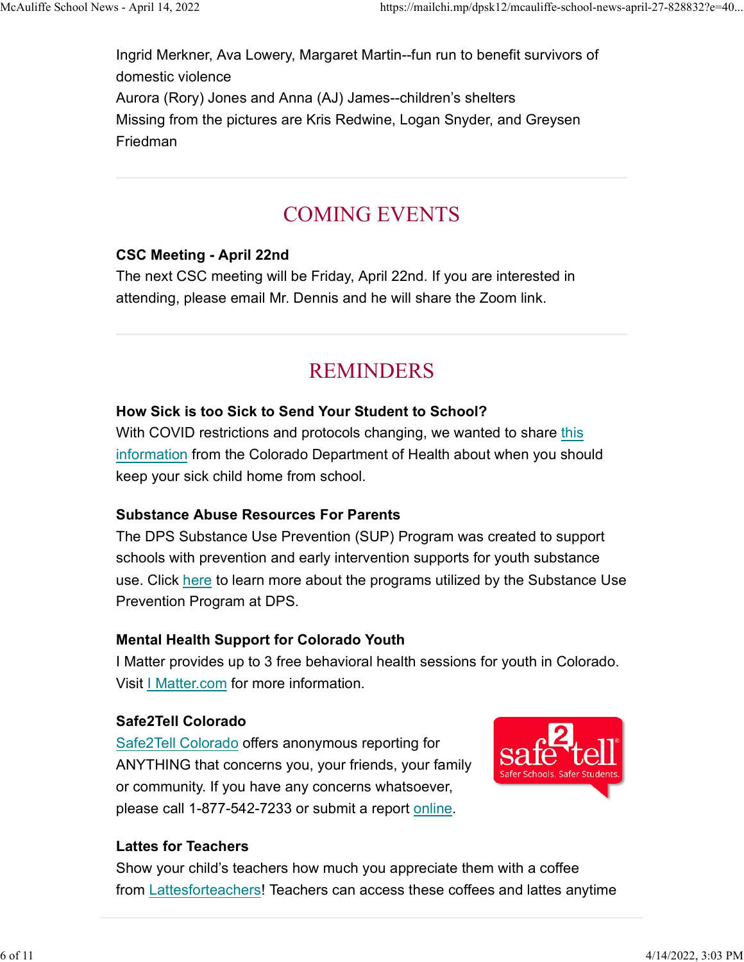Ingrid Merkner, Ava Lowery, Margaret Martin--fun run to benefit survivors of domestic violence Aurora (Rory) Jones and Anna (AJ) James--children's shelters Missing from the pictures are Kris Redwine, Logan Snyder, and Greysen Friedman McAuliffe School News - April 14, 2022 https://mailchi.mp/dpsk12/mcauliffe-school-news-april-27-828832?e=40...<br>Ingrid Merkner, Ava Lowery, Margaret Martin--fun run to benefit survivors of<br>domestic violence

# COMING EVENTS

# CSC Meeting - April 22nd

The next CSC meeting will be Friday, April 22nd. If you are interested in attending, please email Mr. Dennis and he will share the Zoom link.

# REMINDERS

# How Sick is too Sick to Send Your Student to School?

With COVID restrictions and protocols changing, we wanted to share this information from the Colorado Department of Health about when you should keep your sick child home from school.

# Substance Abuse Resources For Parents

The DPS Substance Use Prevention (SUP) Program was created to support schools with prevention and early intervention supports for youth substance use. Click here to learn more about the programs utilized by the Substance Use Prevention Program at DPS.

# Mental Health Support for Colorado Youth

I Matter provides up to 3 free behavioral health sessions for youth in Colorado. Visit | Matter.com for more information.

# Safe2Tell Colorado

Safe2Tell Colorado offers anonymous reporting for ANYTHING that concerns you, your friends, your family or community. If you have any concerns whatsoever, please call 1-877-542-7233 or submit a report online.



# Lattes for Teachers

Show your child's teachers how much you appreciate them with a coffee from Lattesforteachers! Teachers can access these coffees and lattes anytime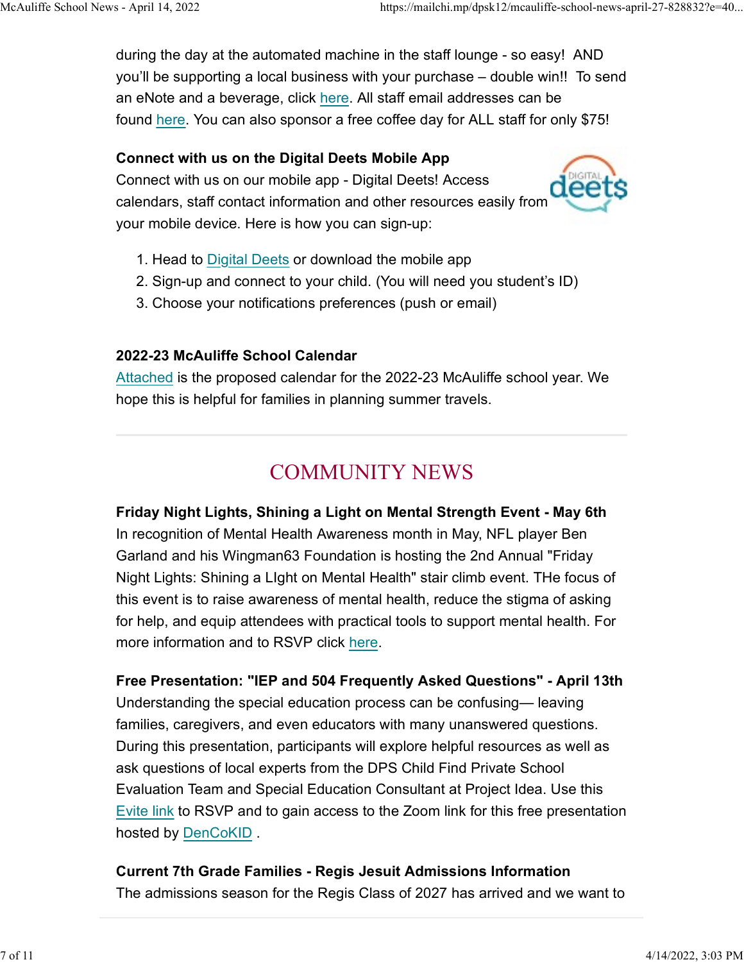during the day at the automated machine in the staff lounge - so easy! AND you'll be supporting a local business with your purchase – double win!! To send an eNote and a beverage, click here. All staff email addresses can be found here. You can also sponsor a free coffee day for ALL staff for only \$75! McAuliffe School News - April 14, 2022<br>https://mailchi.mp/dpsk12/mcauliffe-school-news-april-27-828832?e=40...<br>during the day at the automated machine in the staff lounge - so easy! AND<br>you'll be supporting a local busines

#### Connect with us on the Digital Deets Mobile App

Connect with us on our mobile app - Digital Deets! Access calendars, staff contact information and other resources easily from your mobile device. Here is how you can sign-up:



- 1. Head to Digital Deets or download the mobile app
- 2. Sign-up and connect to your child. (You will need you student's ID)
- 3. Choose your notifications preferences (push or email)

## 2022-23 McAuliffe School Calendar

Attached is the proposed calendar for the 2022-23 McAuliffe school year. We hope this is helpful for families in planning summer travels.

# COMMUNITY NEWS

Friday Night Lights, Shining a Light on Mental Strength Event - May 6th In recognition of Mental Health Awareness month in May, NFL player Ben Garland and his Wingman63 Foundation is hosting the 2nd Annual "Friday Night Lights: Shining a LIght on Mental Health" stair climb event. THe focus of this event is to raise awareness of mental health, reduce the stigma of asking for help, and equip attendees with practical tools to support mental health. For more information and to RSVP click here.

Free Presentation: "IEP and 504 Frequently Asked Questions" - April 13th Understanding the special education process can be confusing— leaving families, caregivers, and even educators with many unanswered questions. During this presentation, participants will explore helpful resources as well as ask questions of local experts from the DPS Child Find Private School Evaluation Team and Special Education Consultant at Project Idea. Use this Evite link to RSVP and to gain access to the Zoom link for this free presentation hosted by DenCoKID .

Current 7th Grade Families - Regis Jesuit Admissions Information The admissions season for the Regis Class of 2027 has arrived and we want to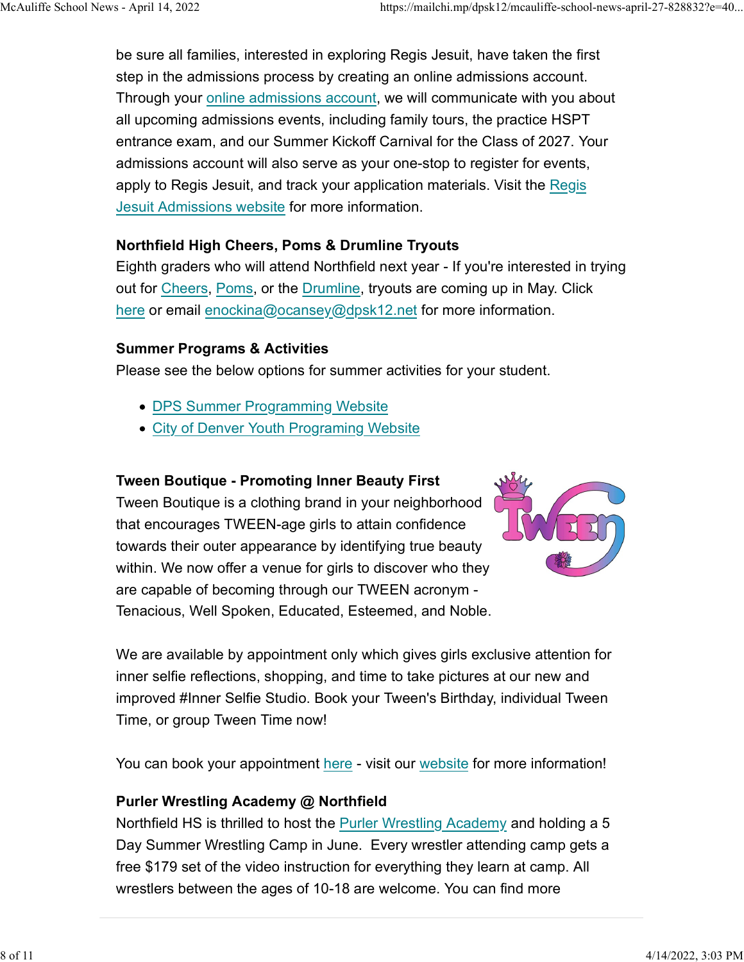be sure all families, interested in exploring Regis Jesuit, have taken the first step in the admissions process by creating an online admissions account. Through your online admissions account, we will communicate with you about all upcoming admissions events, including family tours, the practice HSPT entrance exam, and our Summer Kickoff Carnival for the Class of 2027. Your admissions account will also serve as your one-stop to register for events, apply to Regis Jesuit, and track your application materials. Visit the Regis Jesuit Admissions website for more information. McAuliffe School News - April 14, 2022 https://mailchi.mp/dpsk12/mcauliffe-school-news-april-27-828832?e=40...<br>be sure all families, interested in exploring Regis Jesuit, have taken the first<br>step in the admissions process

# Northfield High Cheers, Poms & Drumline Tryouts

Eighth graders who will attend Northfield next year - If you're interested in trying out for Cheers, Poms, or the Drumline, tryouts are coming up in May. Click here or email enockina@ocansey@dpsk12.net for more information.

## Summer Programs & Activities

Please see the below options for summer activities for your student.

- DPS Summer Programming Website
- City of Denver Youth Programing Website

#### Tween Boutique - Promoting Inner Beauty First

Tween Boutique is a clothing brand in your neighborhood that encourages TWEEN-age girls to attain confidence towards their outer appearance by identifying true beauty within. We now offer a venue for girls to discover who they are capable of becoming through our TWEEN acronym - Tenacious, Well Spoken, Educated, Esteemed, and Noble.



We are available by appointment only which gives girls exclusive attention for inner selfie reflections, shopping, and time to take pictures at our new and improved #Inner Selfie Studio. Book your Tween's Birthday, individual Tween Time, or group Tween Time now!

You can book your appointment here - visit our website for more information!

## Purler Wrestling Academy @ Northfield

Northfield HS is thrilled to host the Purler Wrestling Academy and holding a 5 Day Summer Wrestling Camp in June. Every wrestler attending camp gets a free \$179 set of the video instruction for everything they learn at camp. All wrestlers between the ages of 10-18 are welcome. You can find more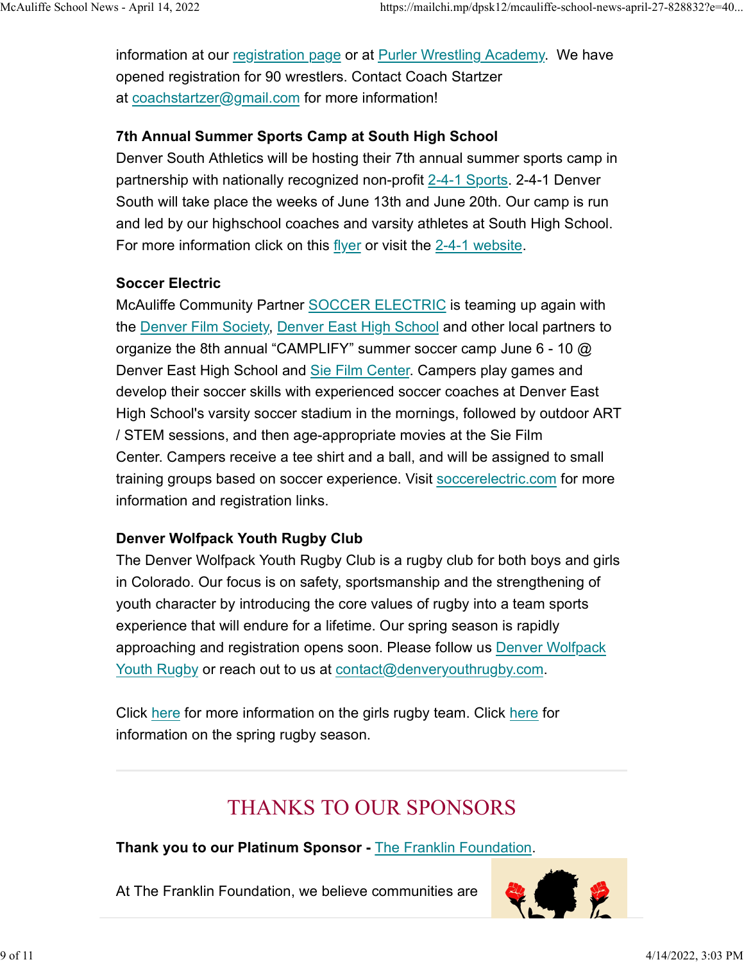information at our registration page or at Purler Wrestling Academy. We have opened registration for 90 wrestlers. Contact Coach Startzer at coachstartzer@gmail.com for more information! McAuliffe School News - April 14, 2022<br>https://mailchi.mp/dpsk12/mcauliffe-school-news-april-27-828832?e=40...<br>information at our <u>registration page</u> or at <u>Purler Wrestling Academy</u>. We have<br>opened registration for 90 wre

## 7th Annual Summer Sports Camp at South High School

Denver South Athletics will be hosting their 7th annual summer sports camp in partnership with nationally recognized non-profit 2-4-1 Sports. 2-4-1 Denver South will take place the weeks of June 13th and June 20th. Our camp is run and led by our highschool coaches and varsity athletes at South High School. For more information click on this flyer or visit the 2-4-1 website.

## Soccer Electric

McAuliffe Community Partner SOCCER ELECTRIC is teaming up again with the Denver Film Society, Denver East High School and other local partners to organize the 8th annual "CAMPLIFY" summer soccer camp June 6 - 10 @ Denver East High School and Sie Film Center. Campers play games and develop their soccer skills with experienced soccer coaches at Denver East High School's varsity soccer stadium in the mornings, followed by outdoor ART / STEM sessions, and then age-appropriate movies at the Sie Film Center. Campers receive a tee shirt and a ball, and will be assigned to small training groups based on soccer experience. Visit soccerelectric.com for more information and registration links.

# Denver Wolfpack Youth Rugby Club

The Denver Wolfpack Youth Rugby Club is a rugby club for both boys and girls in Colorado. Our focus is on safety, sportsmanship and the strengthening of youth character by introducing the core values of rugby into a team sports experience that will endure for a lifetime. Our spring season is rapidly approaching and registration opens soon. Please follow us Denver Wolfpack Youth Rugby or reach out to us at contact@denveryouthrugby.com.

Click here for more information on the girls rugby team. Click here for information on the spring rugby season.

# THANKS TO OUR SPONSORS

# Thank you to our Platinum Sponsor - The Franklin Foundation.<br>At The Franklin Foundation, we believe communities are

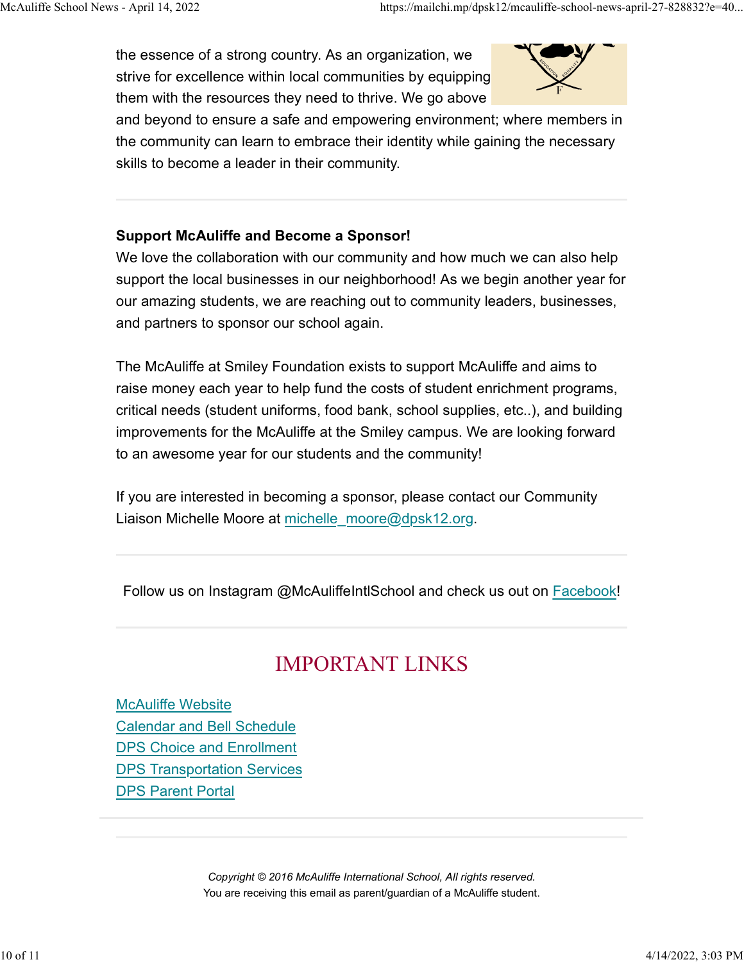the essence of a strong country. As an organization, we strive for excellence within local communities by equipping them with the resources they need to thrive. We go above McAuliffe School News - April 14, 2022 https://mailchi.mp/dpsk12/mcauliffe-school-news-april-27-828832?e=40...<br>the essence of a strong country. As an organization, we<br>strive for excellence within local communities by equip



and beyond to ensure a safe and empowering environment; where members in the community can learn to embrace their identity while gaining the necessary skills to become a leader in their community.

## Support McAuliffe and Become a Sponsor!

We love the collaboration with our community and how much we can also help support the local businesses in our neighborhood! As we begin another year for our amazing students, we are reaching out to community leaders, businesses, and partners to sponsor our school again.

The McAuliffe at Smiley Foundation exists to support McAuliffe and aims to raise money each year to help fund the costs of student enrichment programs, critical needs (student uniforms, food bank, school supplies, etc..), and building improvements for the McAuliffe at the Smiley campus. We are looking forward to an awesome year for our students and the community!

If you are interested in becoming a sponsor, please contact our Community Liaison Michelle Moore at michelle moore@dpsk12.org.

Follow us on Instagram @McAuliffeIntlSchool and check us out on Facebook!

# IMPORTANT LINKS

McAuliffe Website Calendar and Bell Schedule DPS Choice and Enrollment DPS Transportation Services DPS Parent Portal

> Copyright © 2016 McAuliffe International School, All rights reserved. You are receiving this email as parent/guardian of a McAuliffe student.